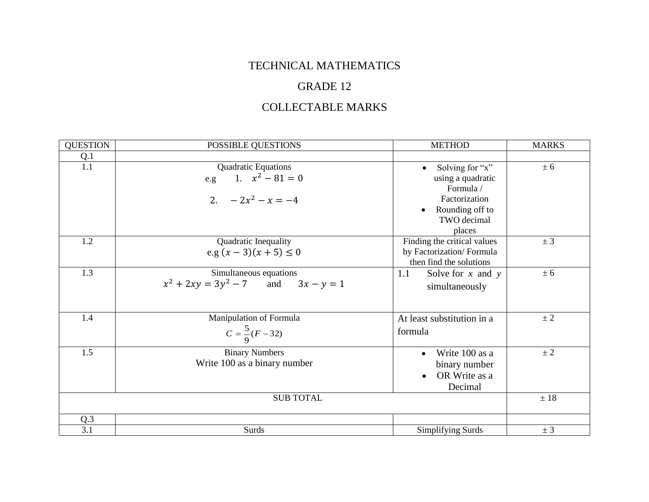## TECHNICAL MATHEMATICS

## GRADE 12

## COLLECTABLE MARKS

| <b>QUESTION</b>  | POSSIBLE QUESTIONS                                                      | <b>METHOD</b>                                                                                                                            | <b>MARKS</b> |
|------------------|-------------------------------------------------------------------------|------------------------------------------------------------------------------------------------------------------------------------------|--------------|
| Q.1              |                                                                         |                                                                                                                                          |              |
| 1.1              | Quadratic Equations<br>1. $x^2 - 81 = 0$<br>e.g.<br>2. $-2x^2 - x = -4$ | Solving for "x"<br>$\bullet$<br>using a quadratic<br>Formula /<br>Factorization<br>Rounding off to<br>$\bullet$<br>TWO decimal<br>places | ± 6          |
| 1.2              | Quadratic Inequality<br>e.g $(x-3)(x+5) \le 0$                          | Finding the critical values<br>by Factorization/Formula<br>then find the solutions                                                       | ± 3          |
| 1.3              | Simultaneous equations<br>$x^2 + 2xy = 3y^2 - 7$ and $3x - y = 1$       | Solve for $x$ and $y$<br>1.1<br>simultaneously                                                                                           | ± 6          |
| 1.4              | Manipulation of Formula<br>$C = \frac{5}{9}(F-32)$                      | At least substitution in a<br>formula                                                                                                    | $\pm 2$      |
| 1.5              | <b>Binary Numbers</b><br>Write 100 as a binary number                   | Write 100 as a<br>$\bullet$<br>binary number<br>OR Write as a<br>$\bullet$<br>Decimal                                                    | ± 2          |
| <b>SUB TOTAL</b> |                                                                         |                                                                                                                                          | ± 18         |
| Q.3              |                                                                         |                                                                                                                                          |              |
| 3.1              | Surds                                                                   | Simplifying Surds                                                                                                                        | ± 3          |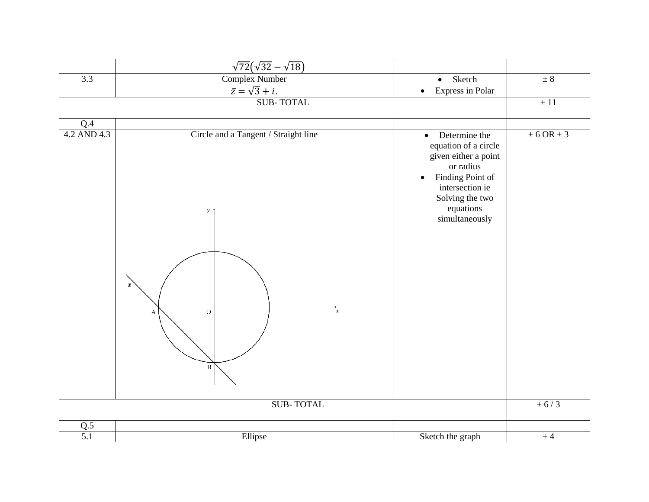|                  | $\sqrt{72}(\sqrt{32}-\sqrt{18})$                                                                                   |                                                                                                                                                                                               |                    |
|------------------|--------------------------------------------------------------------------------------------------------------------|-----------------------------------------------------------------------------------------------------------------------------------------------------------------------------------------------|--------------------|
| $\overline{3.3}$ | <b>Complex Number</b>                                                                                              | Sketch<br>$\bullet$                                                                                                                                                                           | $\pm$ 8            |
|                  | $\overline{z} = \sqrt{3} + i.$<br>SUB-TOTAL                                                                        | <b>Express in Polar</b><br>$\bullet$                                                                                                                                                          |                    |
|                  |                                                                                                                    |                                                                                                                                                                                               | $\pm\,11$          |
| Q.4              |                                                                                                                    |                                                                                                                                                                                               |                    |
| 4.2 AND 4.3      | Circle and a Tangent / Straight line<br>$\mathcal{Y}$ 1<br>g<br>$\overline{O}$<br>$\mathbf x$<br>A<br>$\, {\bf B}$ | Determine the<br>$\bullet$<br>equation of a circle<br>given either a point<br>or radius<br>Finding Point of<br>$\bullet$<br>intersection ie<br>Solving the two<br>equations<br>simultaneously | $\pm$ 6 OR $\pm$ 3 |
| <b>SUB-TOTAL</b> |                                                                                                                    |                                                                                                                                                                                               | $\pm$ 6/3          |
| Q.5              |                                                                                                                    |                                                                                                                                                                                               |                    |
| $\overline{5.1}$ | Ellipse                                                                                                            | Sketch the graph                                                                                                                                                                              | ± 4                |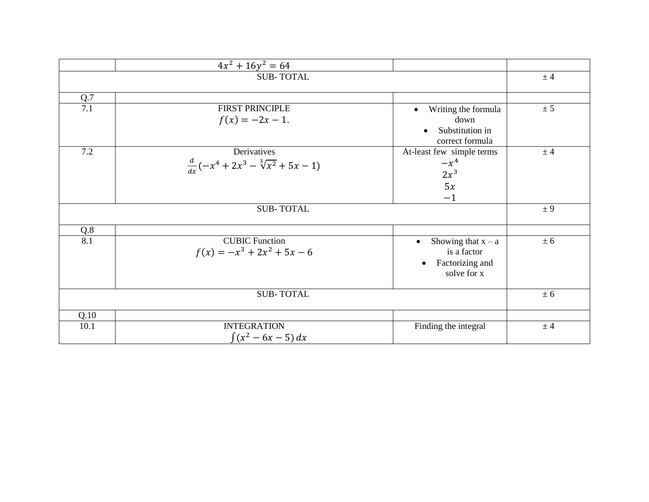|                  | $4x^2 + 16y^2 = 64$                                         |                                                                                                 |       |
|------------------|-------------------------------------------------------------|-------------------------------------------------------------------------------------------------|-------|
|                  | $±$ 4                                                       |                                                                                                 |       |
| Q.7              |                                                             |                                                                                                 |       |
| 7.1              | <b>FIRST PRINCIPLE</b><br>$f(x) = -2x - 1.$                 | Writing the formula<br>$\bullet$<br>down<br>Substitution in<br>$\bullet$<br>correct formula     | ± 5   |
| 7.2              | Derivatives<br>$\frac{d}{dx}(-x^4+2x^3-\sqrt[3]{x^2}+5x-1)$ | At-least few simple terms<br>$-x^4$<br>$2x^3$<br>5x<br>$-1$                                     | $±$ 4 |
|                  | ± 9                                                         |                                                                                                 |       |
| Q.8              |                                                             |                                                                                                 |       |
| $\overline{8.1}$ | <b>CUBIC Function</b><br>$f(x) = -x^3 + 2x^2 + 5x - 6$      | Showing that $x - a$<br>$\bullet$<br>is a factor<br>Factorizing and<br>$\bullet$<br>solve for x | ± 6   |
| <b>SUB-TOTAL</b> |                                                             |                                                                                                 | ± 6   |
| Q.10             |                                                             |                                                                                                 |       |
| 10.1             | <b>INTEGRATION</b><br>$\int (x^2 - 6x - 5) dx$              | Finding the integral                                                                            | ± 4   |